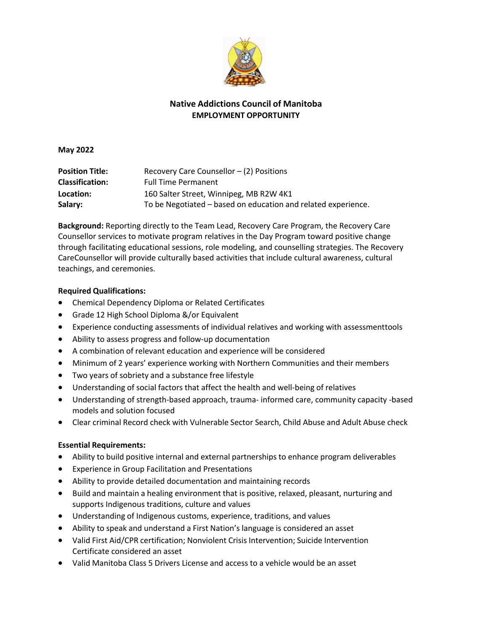

## **Native Addictions Council of Manitoba EMPLOYMENT OPPORTUNITY**

**May 2022**

| <b>Position Title:</b> | Recovery Care Counsellor $-$ (2) Positions                    |
|------------------------|---------------------------------------------------------------|
| <b>Classification:</b> | <b>Full Time Permanent</b>                                    |
| Location:              | 160 Salter Street, Winnipeg, MB R2W 4K1                       |
| Salary:                | To be Negotiated – based on education and related experience. |

**Background:** Reporting directly to the Team Lead, Recovery Care Program, the Recovery Care Counsellor services to motivate program relatives in the Day Program toward positive change through facilitating educational sessions, role modeling, and counselling strategies. The Recovery CareCounsellor will provide culturally based activities that include cultural awareness, cultural teachings, and ceremonies.

## **Required Qualifications:**

- Chemical Dependency Diploma or Related Certificates
- Grade 12 High School Diploma &/or Equivalent
- Experience conducting assessments of individual relatives and working with assessmenttools
- Ability to assess progress and follow-up documentation
- A combination of relevant education and experience will be considered
- Minimum of 2 years' experience working with Northern Communities and their members
- Two years of sobriety and a substance free lifestyle
- Understanding of social factors that affect the health and well-being of relatives
- Understanding of strength-based approach, trauma- informed care, community capacity -based models and solution focused
- Clear criminal Record check with Vulnerable Sector Search, Child Abuse and Adult Abuse check

## **Essential Requirements:**

- Ability to build positive internal and external partnerships to enhance program deliverables
- Experience in Group Facilitation and Presentations
- Ability to provide detailed documentation and maintaining records
- Build and maintain a healing environment that is positive, relaxed, pleasant, nurturing and supports Indigenous traditions, culture and values
- Understanding of Indigenous customs, experience, traditions, and values
- Ability to speak and understand a First Nation's language is considered an asset
- Valid First Aid/CPR certification; Nonviolent Crisis Intervention; Suicide Intervention Certificate considered an asset
- Valid Manitoba Class 5 Drivers License and access to a vehicle would be an asset